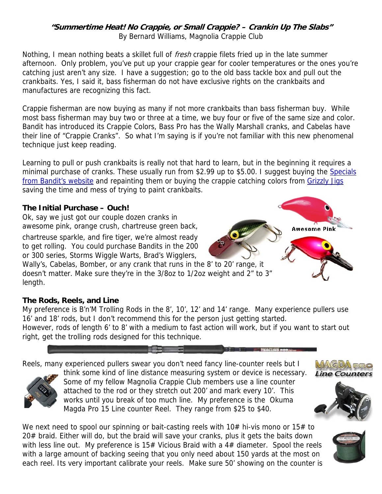#### **"Summertime Heat! No Crappie, or Small Crappie? – Crankin Up The Slabs"**  By Bernard Williams, Magnolia Crappie Club

Nothing, I mean nothing beats a skillet full of *fresh* crappie filets fried up in the late summer afternoon. Only problem, you've put up your crappie gear for cooler temperatures or the ones you're catching just aren't any size. I have a suggestion; go to the old bass tackle box and pull out the crankbaits. Yes, I said it, bass fisherman do not have exclusive rights on the crankbaits and manufactures are recognizing this fact.

Crappie fisherman are now buying as many if not more crankbaits than bass fisherman buy. While most bass fisherman may buy two or three at a time, we buy four or five of the same size and color. Bandit has introduced its Crappie Colors, Bass Pro has the Wally Marshall cranks, and Cabelas have their line of "Crappie Cranks". So what I'm saying is if you're not familiar with this new phenomenal technique just keep reading.

Learning to pull or push crankbaits is really not that hard to learn, but in the beginning it requires a minimal purchase of cranks. These usually run from \$2.99 up to \$5.00. I suggest buying the Specials from Bandit's website and repainting them or buying the crappie catching colors from Grizzly Jigs saving the time and mess of trying to paint crankbaits.

#### **The Initial Purchase – Ouch!**

Ok, say we just got our couple dozen cranks in awesome pink, orange crush, chartreuse green back,

chartreuse sparkle, and fire tiger, we're almost ready to get rolling. You could purchase Bandits in the 200 or 300 series, Storms Wiggle Warts, Brad's Wigglers,

Wally's, Cabelas, Bomber, or any crank that runs in the 8' to 20' range, it doesn't matter. Make sure they're in the 3/8oz to 1/2oz weight and 2" to 3" length.

#### **The Rods, Reels, and Line**

My preference is B'n'M Trolling Rods in the 8', 10', 12' and 14' range. Many experience pullers use 16' and 18' rods, but I don't recommend this for the person just getting started.

However, rods of length 6' to 8' with a medium to fast action will work, but if you want to start out right, get the trolling rods designed for this technique.



Reels, many experienced pullers swear you don't need fancy line-counter reels but I



think some kind of line distance measuring system or device is necessary. Some of my fellow Magnolia Crappie Club members use a line counter attached to the rod or they stretch out 200' and mark every 10'. This works until you break of too much line. My preference is the Okuma Magda Pro 15 Line counter Reel. They range from \$25 to \$40.

We next need to spool our spinning or bait-casting reels with  $10#$  hi-vis mono or  $15#$  to 20# braid. Either will do, but the braid will save your cranks, plus it gets the baits down with less line out. My preference is 15# Vicious Braid with a 4# diameter. Spool the reels with a large amount of backing seeing that you only need about 150 yards at the most on each reel. Its very important calibrate your reels. Make sure 50' showing on the counter is



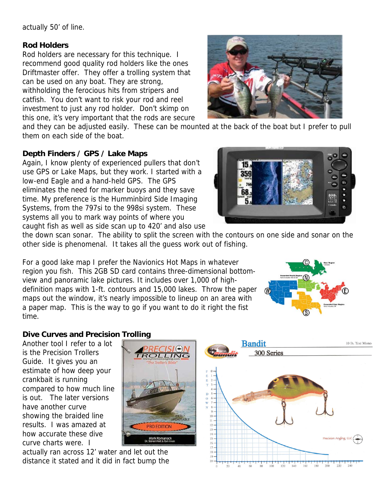actually 50' of line.

#### **Rod Holders**

Rod holders are necessary for this technique. I recommend good quality rod holders like the ones Driftmaster offer. They offer a trolling system that can be used on any boat. They are strong, withholding the ferocious hits from stripers and catfish. You don't want to risk your rod and reel investment to just any rod holder. Don't skimp on this one, it's very important that the rods are secure



and they can be adjusted easily. These can be mounted at the back of the boat but I prefer to pull them on each side of the boat.

### **Depth Finders / GPS / Lake Maps**

Again, I know plenty of experienced pullers that don't use GPS or Lake Maps, but they work. I started with a low-end Eagle and a hand-held GPS. The GPS eliminates the need for marker buoys and they save time. My preference is the Humminbird Side Imaging Systems, from the 797si to the 998si system. These systems all you to mark way points of where you caught fish as well as side scan up to 420' and also use



the down scan sonar. The ability to split the screen with the contours on one side and sonar on the other side is phenomenal. It takes all the guess work out of fishing.

For a good lake map I prefer the Navionics Hot Maps in whatever region you fish. This 2GB SD card contains three-dimensional bottomview and panoramic lake pictures. It includes over 1,000 of highdefinition maps with 1-ft. contours and 15,000 lakes. Throw the paper maps out the window, it's nearly impossible to lineup on an area with a paper map. This is the way to go if you want to do it right the fist time.



# **Dive Curves and Precision Trolling**

Another tool I refer to a lot is the Precision Trollers Guide. It gives you an estimate of how deep your crankbait is running compared to how much line is out. The later versions have another curve showing the braided line results. I was amazed at how accurate these dive curve charts were. I



actually ran across 12' water and let out the distance it stated and it did in fact bump the

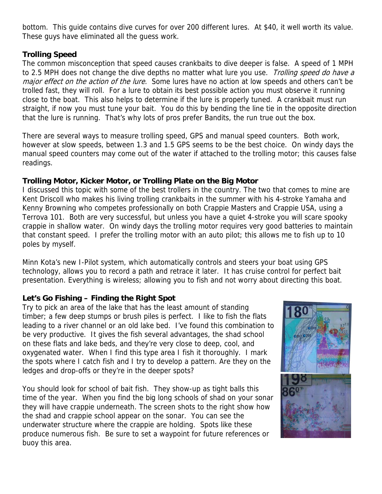bottom. This guide contains dive curves for over 200 different lures. At \$40, it well worth its value. These guys have eliminated all the guess work.

#### **Trolling Speed**

The common misconception that speed causes crankbaits to dive deeper is false. A speed of 1 MPH to 2.5 MPH does not change the dive depths no matter what lure you use. Trolling speed do have a major effect on the action of the lure. Some lures have no action at low speeds and others can't be trolled fast, they will roll. For a lure to obtain its best possible action you must observe it running close to the boat. This also helps to determine if the lure is properly tuned. A crankbait must run straight, if now you must tune your bait. You do this by bending the line tie in the opposite direction that the lure is running. That's why lots of pros prefer Bandits, the run true out the box.

There are several ways to measure trolling speed, GPS and manual speed counters. Both work, however at slow speeds, between 1.3 and 1.5 GPS seems to be the best choice. On windy days the manual speed counters may come out of the water if attached to the trolling motor; this causes false readings.

#### **Trolling Motor, Kicker Motor, or Trolling Plate on the Big Motor**

I discussed this topic with some of the best trollers in the country. The two that comes to mine are Kent Driscoll who makes his living trolling crankbaits in the summer with his 4-stroke Yamaha and Kenny Browning who competes professionally on both Crappie Masters and Crappie USA, using a Terrova 101. Both are very successful, but unless you have a quiet 4-stroke you will scare spooky crappie in shallow water. On windy days the trolling motor requires very good batteries to maintain that constant speed. I prefer the trolling motor with an auto pilot; this allows me to fish up to 10 poles by myself.

Minn Kota's new I-Pilot system, which automatically controls and steers your boat using GPS technology, allows you to record a path and retrace it later. It has cruise control for perfect bait presentation. Everything is wireless; allowing you to fish and not worry about directing this boat.

# **Let's Go Fishing – Finding the Right Spot**

Try to pick an area of the lake that has the least amount of standing timber; a few deep stumps or brush piles is perfect. I like to fish the flats leading to a river channel or an old lake bed. I've found this combination to be very productive. It gives the fish several advantages, the shad school on these flats and lake beds, and they're very close to deep, cool, and oxygenated water. When I find this type area I fish it thoroughly. I mark the spots where I catch fish and I try to develop a pattern. Are they on the ledges and drop-offs or they're in the deeper spots?

You should look for school of bait fish. They show-up as tight balls this time of the year. When you find the big long schools of shad on your sonar they will have crappie underneath. The screen shots to the right show how the shad and crappie school appear on the sonar. You can see the underwater structure where the crappie are holding. Spots like these produce numerous fish. Be sure to set a waypoint for future references or buoy this area.

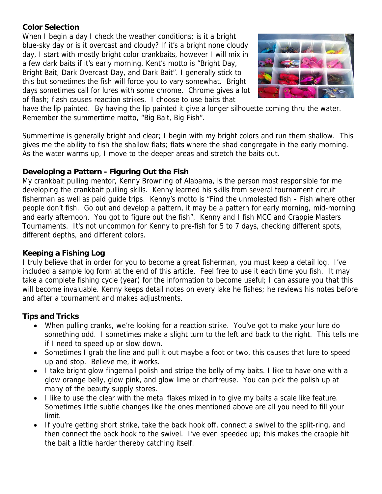# **Color Selection**

When I begin a day I check the weather conditions; is it a bright blue-sky day or is it overcast and cloudy? If it's a bright none cloudy day, I start with mostly bright color crankbaits, however I will mix in a few dark baits if it's early morning. Kent's motto is "Bright Day, Bright Bait, Dark Overcast Day, and Dark Bait". I generally stick to this but sometimes the fish will force you to vary somewhat. Bright days sometimes call for lures with some chrome. Chrome gives a lot of flash; flash causes reaction strikes. I choose to use baits that



have the lip painted. By having the lip painted it give a longer silhouette coming thru the water. Remember the summertime motto, "Big Bait, Big Fish".

Summertime is generally bright and clear; I begin with my bright colors and run them shallow. This gives me the ability to fish the shallow flats; flats where the shad congregate in the early morning. As the water warms up, I move to the deeper areas and stretch the baits out.

# **Developing a Pattern - Figuring Out the Fish**

My crankbait pulling mentor, Kenny Browning of Alabama, is the person most responsible for me developing the crankbait pulling skills. Kenny learned his skills from several tournament circuit fisherman as well as paid guide trips. Kenny's motto is "Find the unmolested fish – Fish where other people don't fish. Go out and develop a pattern, it may be a pattern for early morning, mid-morning and early afternoon. You got to figure out the fish". Kenny and I fish MCC and Crappie Masters Tournaments. It's not uncommon for Kenny to pre-fish for 5 to 7 days, checking different spots, different depths, and different colors.

# **Keeping a Fishing Log**

I truly believe that in order for you to become a great fisherman, you must keep a detail log. I've included a sample log form at the end of this article. Feel free to use it each time you fish. It may take a complete fishing cycle (year) for the information to become useful; I can assure you that this will become invaluable. Kenny keeps detail notes on every lake he fishes; he reviews his notes before and after a tournament and makes adjustments.

# **Tips and Tricks**

- When pulling cranks, we're looking for a reaction strike. You've got to make your lure do something odd. I sometimes make a slight turn to the left and back to the right. This tells me if I need to speed up or slow down.
- Sometimes I grab the line and pull it out maybe a foot or two, this causes that lure to speed up and stop. Believe me, it works.
- I take bright glow fingernail polish and stripe the belly of my baits. I like to have one with a glow orange belly, glow pink, and glow lime or chartreuse. You can pick the polish up at many of the beauty supply stores.
- I like to use the clear with the metal flakes mixed in to give my baits a scale like feature. Sometimes little subtle changes like the ones mentioned above are all you need to fill your limit.
- If you're getting short strike, take the back hook off, connect a swivel to the split-ring, and then connect the back hook to the swivel. I've even speeded up; this makes the crappie hit the bait a little harder thereby catching itself.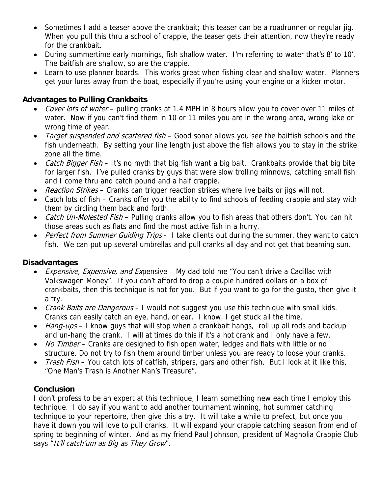- Sometimes I add a teaser above the crankbait; this teaser can be a roadrunner or regular jig. When you pull this thru a school of crappie, the teaser gets their attention, now they're ready for the crankbait.
- During summertime early mornings, fish shallow water. I'm referring to water that's 8' to 10'. The baitfish are shallow, so are the crappie.
- Learn to use planner boards. This works great when fishing clear and shallow water. Planners get your lures away from the boat, especially if you're using your engine or a kicker motor.

### **Advantages to Pulling Crankbaits**

- Cover lots of water pulling cranks at 1.4 MPH in 8 hours allow you to cover over 11 miles of water. Now if you can't find them in 10 or 11 miles you are in the wrong area, wrong lake or wrong time of year.
- Target suspended and scattered fish Good sonar allows you see the baitfish schools and the fish underneath. By setting your line length just above the fish allows you to stay in the strike zone all the time.
- Catch Bigger Fish It's no myth that big fish want a big bait. Crankbaits provide that big bite for larger fish. I've pulled cranks by guys that were slow trolling minnows, catching small fish and I come thru and catch pound and a half crappie.
- Reaction Strikes Cranks can trigger reaction strikes where live baits or jigs will not.
- Catch lots of fish Cranks offer you the ability to find schools of feeding crappie and stay with them by circling them back and forth.
- Catch Un-Molested Fish Pulling cranks allow you to fish areas that others don't. You can hit those areas such as flats and find the most active fish in a hurry.
- Perfect from Summer Guiding Trips I take clients out during the summer, they want to catch fish. We can put up several umbrellas and pull cranks all day and not get that beaming sun.

#### **Disadvantages**

- Expensive, Expensive, and Expensive My dad told me "You can't drive a Cadillac with Volkswagen Money". If you can't afford to drop a couple hundred dollars on a box of crankbaits, then this technique is not for you. But if you want to go for the gusto, then give it a try.
- Crank Baits are Dangerous I would not suggest you use this technique with small kids. Cranks can easily catch an eye, hand, or ear. I know, I get stuck all the time.
- Hang-ups I know guys that will stop when a crankbait hangs, roll up all rods and backup and un-hang the crank. I will at times do this if it's a hot crank and I only have a few.
- No Timber Cranks are designed to fish open water, ledges and flats with little or no structure. Do not try to fish them around timber unless you are ready to loose your cranks.
- Trash Fish You catch lots of catfish, stripers, gars and other fish. But I look at it like this, "One Man's Trash is Another Man's Treasure".

# **Conclusion**

I don't profess to be an expert at this technique, I learn something new each time I employ this technique. I do say if you want to add another tournament winning, hot summer catching technique to your repertoire, then give this a try. It will take a while to prefect, but once you have it down you will love to pull cranks. It will expand your crappie catching season from end of spring to beginning of winter. And as my friend Paul Johnson, president of Magnolia Crappie Club says "It'll catch'um as Big as They Grow".